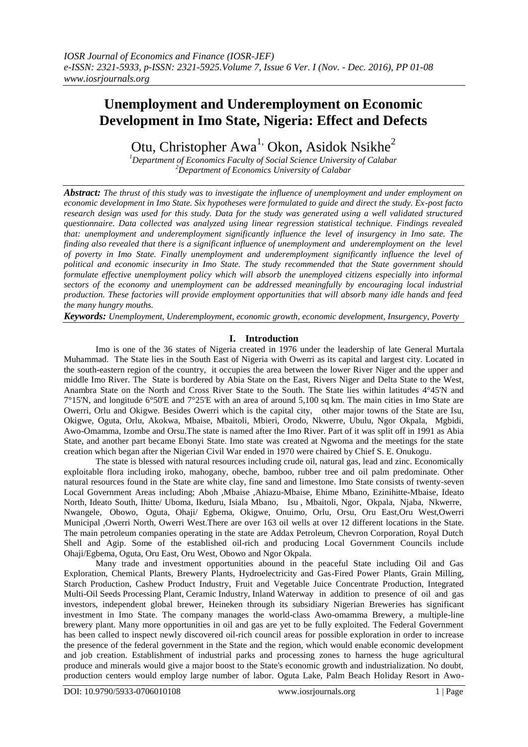# **Unemployment and Underemployment on Economic Development in Imo State, Nigeria: Effect and Defects**

Otu, Christopher Awa<sup>1,</sup> Okon, Asidok Nsikhe<sup>2</sup>

*<sup>1</sup>Department of Economics Faculty of Social Science University of Calabar <sup>2</sup>Department of Economics University of Calabar*

*Abstract: The thrust of this study was to investigate the influence of unemployment and under employment on economic development in Imo State. Six hypotheses were formulated to guide and direct the study. Ex-post facto research design was used for this study. Data for the study was generated using a well validated structured questionnaire. Data collected was analyzed using linear regression statistical technique. Findings revealed that: unemployment and underemployment significantly influence the level of insurgency in Imo sate. The finding also revealed that there is a significant influence of unemployment and underemployment on the level of poverty in Imo State. Finally unemployment and underemployment significantly influence the level of political and economic insecurity in Imo State. The study recommended that the State government should formulate effective unemployment policy which will absorb the unemployed citizens especially into informal sectors of the economy and unemployment can be addressed meaningfully by encouraging local industrial production. These factories will provide employment opportunities that will absorb many idle hands and feed the many hungry mouths.*

*Keywords: Unemployment, Underemployment, economic growth, economic development, Insurgency, Poverty* 

# **I. Introduction**

Imo is one of the 36 states of Nigeria created in 1976 under the leadership of late General Murtala Muhammad. The State lies in the South East of Nigeria with Owerri as its capital and largest city. Located in the south-eastern region of the country, it occupies the area between the lower River Niger and the upper and middle Imo River. The State is bordered by [Abia State](https://en.wikipedia.org/wiki/Abia_State) on the East, [Rivers](https://en.wikipedia.org/wiki/River_Niger) Niger and [Delta State](https://en.wikipedia.org/wiki/Delta_State) to the West, [Anambra State](https://en.wikipedia.org/wiki/Anambra_State) on the North and Cross [River](https://en.wikipedia.org/wiki/Rivers_State) State to the South. The State lies within latitudes 4°45'N and 7°15'N, and longitude 6°50'E and 7°25'E with an area of around 5,100 sq km. The main cities in Imo State are [Owerri,](https://en.wikipedia.org/wiki/Owerri) [Orlu](https://en.wikipedia.org/wiki/Orlu,_Nigeria) and [Okigwe](https://en.wikipedia.org/wiki/Okigwe). Besides Owerri which is the capital city, other major towns of the State are Isu, Okigwe, Oguta, Orlu, Akokwa, Mbaise, Mbaitoli, Mbieri, Orodo, Nkwerre, Ubulu, Ngor Okpala, Mgbidi, Awo-Omamma, Izombe and Orsu.The state is named after the Imo River. Part of it was split off in 1991 as Abia State, and another part became Ebonyi State. Imo state was created at Ngwoma and the meetings for the state creation which began after the Nigerian Civil War ended in 1970 were chaired by Chief S. E. Onukogu.

The state is blessed with natural resources including crude oil, natural gas, lead and zinc. Economically exploitable flora including iroko, mahogany, obeche, bamboo, rubber tree and oil palm predominate. Other natural resources found in the State are white clay, fine sand and limestone. Imo State consists of twenty-seven [Local Government Areas](https://en.wikipedia.org/wiki/Local_government_areas_of_Nigeria) including; [Aboh ,Mbaise](https://en.wikipedia.org/wiki/Aboh_Mbaise) [,Ahiazu-Mbaise,](https://en.wikipedia.org/wiki/Ahiazu_Mbaise) [Ehime Mbano,](https://en.wikipedia.org/wiki/Ehime_Mbano) [Ezinihitte-Mbaise,](https://en.wikipedia.org/w/index.php?title=Ezinihitte_Mbaise&action=edit&redlink=1) [Ideato](https://en.wikipedia.org/wiki/Ideato_North)  [North,](https://en.wikipedia.org/wiki/Ideato_North) [Ideato South,](https://en.wikipedia.org/wiki/Ideato_South) Ihitte/ [Uboma,](https://en.wikipedia.org/wiki/Ihitte/Uboma) [Ikeduru,](https://en.wikipedia.org/wiki/Ikeduru) [Isiala Mbano,](https://en.wikipedia.org/wiki/Isiala_Mbano) [Isu](https://en.wikipedia.org/wiki/Isu,_Nigeria) , [Mbaitoli,](https://en.wikipedia.org/wiki/Mbaitoli) Ngor, [Okpala,](https://en.wikipedia.org/wiki/Ngor_Okpala) [Njaba,](https://en.wikipedia.org/wiki/Njaba) [Nkwerre,](https://en.wikipedia.org/wiki/Nkwerre) [Nwangele,](https://en.wikipedia.org/wiki/Nwangele) [Obowo,](https://en.wikipedia.org/wiki/Obowo) [Oguta,](https://en.wikipedia.org/wiki/Oguta) Ohaji/ [Egbema,](https://en.wikipedia.org/wiki/Ohaji/Egbema) [Okigwe,](https://en.wikipedia.org/wiki/Okigwe) [Onuimo,](https://en.wikipedia.org/wiki/Onuimo) [Orlu,](https://en.wikipedia.org/wiki/Orlu,_Nigeria) [Orsu,](https://en.wikipedia.org/wiki/Orsu) [Oru East,](https://en.wikipedia.org/wiki/Oru_East)[Oru West,](https://en.wikipedia.org/wiki/Oru_West)[Owerri](https://en.wikipedia.org/wiki/Owerri_Municipal)  [Municipal](https://en.wikipedia.org/wiki/Owerri_Municipal) [,Owerri North,](https://en.wikipedia.org/wiki/Owerri_North) [Owerri West.T](https://en.wikipedia.org/wiki/Owerri_West)here are over 163 oil wells at over 12 different locations in the State. The main petroleum companies operating in the state are Addax Petroleum, Chevron Corporation, Royal Dutch Shell and Agip. Some of the established oil-rich and producing Local Government Councils include Ohaji/Egbema, Oguta, Oru East, Oru West, Obowo and Ngor Okpala.

Many trade and investment opportunities abound in the peaceful State including Oil and Gas Exploration, Chemical Plants, Brewery Plants, Hydroelectricity and Gas-Fired Power Plants, Grain Milling, Starch Production, Cashew Product Industry, Fruit and Vegetable Juice Concentrate Production, Integrated Multi-Oil Seeds Processing Plant, Ceramic Industry, Inland Waterway in addition to presence of oil and gas investors, independent global brewer, Heineken through its subsidiary Nigerian Breweries has significant investment in Imo State. The company manages the world-class Awo-omamma Brewery, a multiple-line brewery plant. Many more opportunities in oil and gas are yet to be fully exploited. The Federal Government has been called to inspect newly discovered oil-rich council areas for possible exploration in order to increase the presence of the federal government in the State and the region, which would enable economic development and job creation. Establishment of industrial parks and processing zones to harness the huge agricultural produce and minerals would give a major boost to the State's economic growth and industrialization. No doubt, production centers would employ large number of labor. Oguta Lake, Palm Beach Holiday Resort in Awo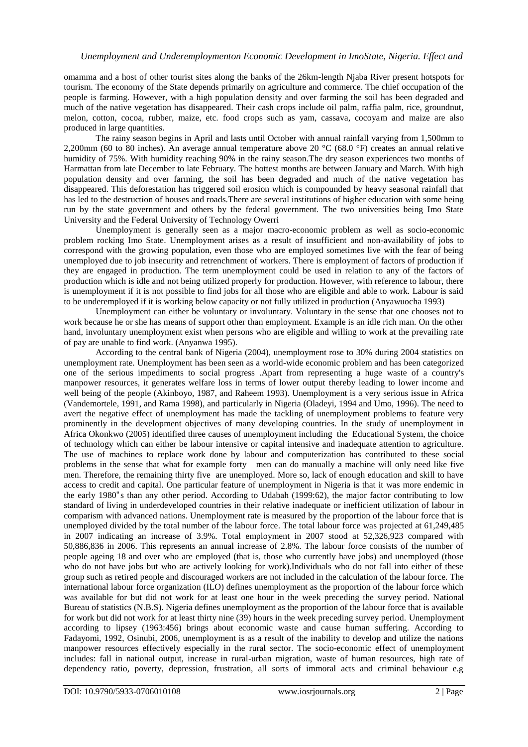omamma and a host of other tourist sites along the banks of the 26km-length Njaba River present hotspots for tourism. The economy of the State depends primarily on agriculture and commerce. The chief occupation of the people is farming. However, with a high population density and over farming the soil has been degraded and much of the native vegetation has disappeared. Their cash crops include oil palm, raffia palm, rice, groundnut, melon, cotton, cocoa, rubber, maize, etc. food crops such as yam, cassava, cocoyam and maize are also produced in large quantities.

The rainy season begins in April and lasts until October with annual rainfall varying from 1,500mm to 2,200mm (60 to 80 inches). An average annual temperature above 20  $^{\circ}$ C (68.0  $^{\circ}$ F) creates an annual relative humidity of 75%. With humidity reaching 90% in the rainy season.The dry season experiences two months of Harmattan from late December to late February. The hottest months are between January and March. With high population density and over farming, the soil has been degraded and much of the native vegetation has disappeared. This deforestation has triggered soil erosion which is compounded by heavy seasonal rainfall that has led to the destruction of houses and roads.There are several institutions of higher education with some being run by the state government and others by the federal government. The two universities being Imo State University and the Federal University of Technology Owerri

Unemployment is generally seen as a major macro-economic problem as well as socio-economic problem rocking Imo State. Unemployment arises as a result of insufficient and non-availability of jobs to correspond with the growing population, even those who are employed sometimes live with the fear of being unemployed due to job insecurity and retrenchment of workers. There is employment of factors of production if they are engaged in production. The term unemployment could be used in relation to any of the factors of production which is idle and not being utilized properly for production. However, with reference to labour, there is unemployment if it is not possible to find jobs for all those who are eligible and able to work. Labour is said to be underemployed if it is working below capacity or not fully utilized in production (Anyawuocha 1993)

Unemployment can either be voluntary or involuntary. Voluntary in the sense that one chooses not to work because he or she has means of support other than employment. Example is an idle rich man. On the other hand, involuntary unemployment exist when persons who are eligible and willing to work at the prevailing rate of pay are unable to find work. (Anyanwa 1995).

According to the central bank of Nigeria (2004), unemployment rose to 30% during 2004 statistics on unemployment rate. Unemployment has been seen as a world-wide economic problem and has been categorized one of the serious impediments to social progress .Apart from representing a huge waste of a country's manpower resources, it generates welfare loss in terms of lower output thereby leading to lower income and well being of the people (Akinboyo, 1987, and Raheem 1993). Unemployment is a very serious issue in Africa (Vandemortele, 1991, and Rama 1998), and particularly in Nigeria (Oladeyi, 1994 and Umo, 1996). The need to avert the negative effect of unemployment has made the tackling of unemployment problems to feature very prominently in the development objectives of many developing countries. In the study of unemployment in Africa Okonkwo (2005) identified three causes of unemployment including the Educational System, the choice of technology which can either be labour intensive or capital intensive and inadequate attention to agriculture. The use of machines to replace work done by labour and computerization has contributed to these social problems in the sense that what for example forty men can do manually a machine will only need like five men. Therefore, the remaining thirty five are unemployed. More so, lack of enough education and skill to have access to credit and capital. One particular feature of unemployment in Nigeria is that it was more endemic in the early 1980"s than any other period. According to Udabah (1999:62), the major factor contributing to low standard of living in underdeveloped countries in their relative inadequate or inefficient utilization of labour in comparism with advanced nations. Unemployment rate is measured by the proportion of the labour force that is unemployed divided by the total number of the labour force. The total labour force was projected at 61,249,485 in 2007 indicating an increase of 3.9%. Total employment in 2007 stood at 52,326,923 compared with 50,886,836 in 2006. This represents an annual increase of 2.8%. The labour force consists of the number of people ageing 18 and over who are employed (that is, those who currently have jobs) and unemployed (those who do not have jobs but who are actively looking for work).Individuals who do not fall into either of these group such as retired people and discouraged workers are not included in the calculation of the labour force. The international labour force organization (ILO) defines unemployment as the proportion of the labour force which was available for but did not work for at least one hour in the week preceding the survey period. National Bureau of statistics (N.B.S). Nigeria defines unemployment as the proportion of the labour force that is available for work but did not work for at least thirty nine (39) hours in the week preceding survey period. Unemployment according to lipsey (1963:456) brings about economic waste and cause human suffering. According to Fadayomi, 1992, Osinubi, 2006, unemployment is as a result of the inability to develop and utilize the nations manpower resources effectively especially in the rural sector. The socio-economic effect of unemployment includes: fall in national output, increase in rural-urban migration, waste of human resources, high rate of dependency ratio, poverty, depression, frustration, all sorts of immoral acts and criminal behaviour e.g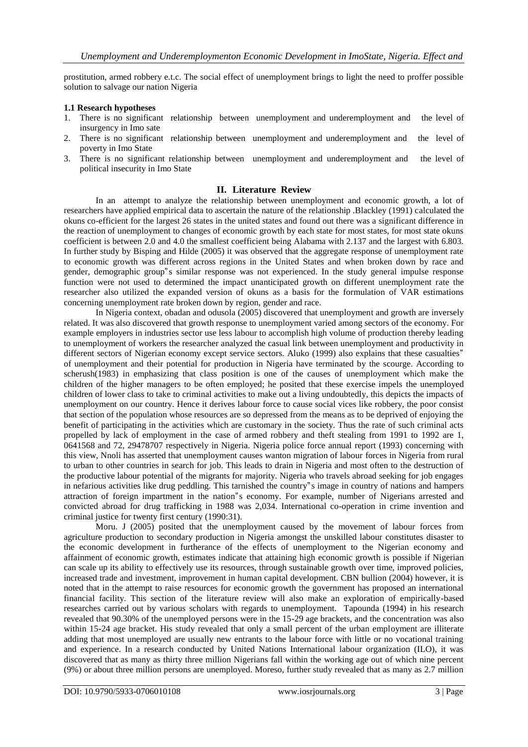prostitution, armed robbery e.t.c. The social effect of unemployment brings to light the need to proffer possible solution to salvage our nation Nigeria

#### **1.1 Research hypotheses**

- 1. There is no significant relationship between unemployment and underemployment and the level of insurgency in Imo sate
- 2. There is no significant relationship between unemployment and underemployment and the level of poverty in Imo State
- 3. There is no significant relationship between unemployment and underemployment and the level of political insecurity in Imo State

# **II. Literature Review**

In an attempt to analyze the relationship between unemployment and economic growth, a lot of researchers have applied empirical data to ascertain the nature of the relationship .Blackley (1991) calculated the okuns co-efficient for the largest 26 states in the united states and found out there was a significant difference in the reaction of unemployment to changes of economic growth by each state for most states, for most state okuns coefficient is between 2.0 and 4.0 the smallest coefficient being Alabama with 2.137 and the largest with 6.803. In further study by Bisping and Hilde (2005) it was observed that the aggregate response of unemployment rate to economic growth was different across regions in the United States and when broken down by race and gender, demographic group"s similar response was not experienced. In the study general impulse response function were not used to determined the impact unanticipated growth on different unemployment rate the researcher also utilized the expanded version of okuns as a basis for the formulation of VAR estimations concerning unemployment rate broken down by region, gender and race.

In Nigeria context, obadan and odusola (2005) discovered that unemployment and growth are inversely related. It was also discovered that growth response to unemployment varied among sectors of the economy. For example employers in industries sector use less labour to accomplish high volume of production thereby leading to unemployment of workers the researcher analyzed the casual link between unemployment and productivity in different sectors of Nigerian economy except service sectors. Aluko (1999) also explains that these casualties" of unemployment and their potential for production in Nigeria have terminated by the scourge. According to scherush(1983) in emphasizing that class position is one of the causes of unemployment which make the children of the higher managers to be often employed; he posited that these exercise impels the unemployed children of lower class to take to criminal activities to make out a living undoubtedly, this depicts the impacts of unemployment on our country. Hence it derives labour force to cause social vices like robbery, the poor consist that section of the population whose resources are so depressed from the means as to be deprived of enjoying the benefit of participating in the activities which are customary in the society. Thus the rate of such criminal acts propelled by lack of employment in the case of armed robbery and theft stealing from 1991 to 1992 are 1, 0641568 and 72, 29478707 respectively in Nigeria. Nigeria police force annual report (1993) concerning with this view, Nnoli has asserted that unemployment causes wanton migration of labour forces in Nigeria from rural to urban to other countries in search for job. This leads to drain in Nigeria and most often to the destruction of the productive labour potential of the migrants for majority. Nigeria who travels abroad seeking for job engages in nefarious activities like drug peddling. This tarnished the country"s image in country of nations and hampers attraction of foreign impartment in the nation"s economy. For example, number of Nigerians arrested and convicted abroad for drug trafficking in 1988 was 2,034. International co-operation in crime invention and criminal justice for twenty first century (1990:31).

Moru. J (2005) posited that the unemployment caused by the movement of labour forces from agriculture production to secondary production in Nigeria amongst the unskilled labour constitutes disaster to the economic development in furtherance of the effects of unemployment to the Nigerian economy and affainment of economic growth, estimates indicate that attaining high economic growth is possible if Nigerian can scale up its ability to effectively use its resources, through sustainable growth over time, improved policies, increased trade and investment, improvement in human capital development. CBN bullion (2004) however, it is noted that in the attempt to raise resources for economic growth the government has proposed an international financial facility. This section of the literature review will also make an exploration of empirically-based researches carried out by various scholars with regards to unemployment. Tapounda (1994) in his research revealed that 90.30% of the unemployed persons were in the 15-29 age brackets, and the concentration was also within 15-24 age bracket. His study revealed that only a small percent of the urban employment are illiterate adding that most unemployed are usually new entrants to the labour force with little or no vocational training and experience. In a research conducted by United Nations International labour organization (ILO), it was discovered that as many as thirty three million Nigerians fall within the working age out of which nine percent (9%) or about three million persons are unemployed. Moreso, further study revealed that as many as 2.7 million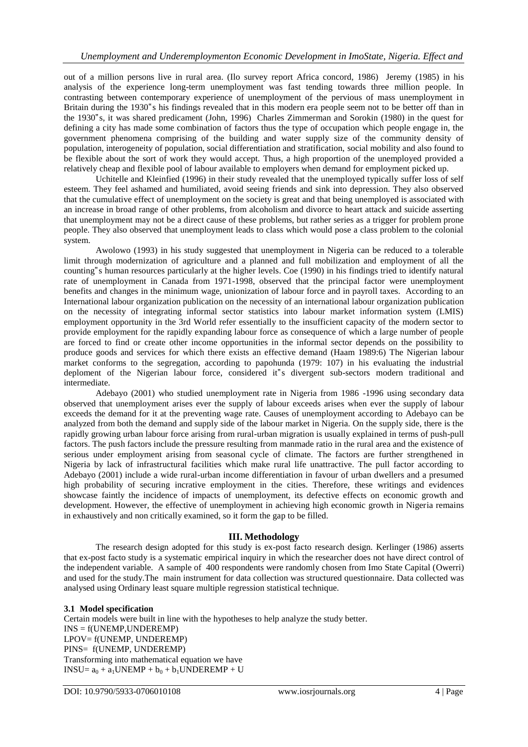out of a million persons live in rural area. (Ilo survey report Africa concord, 1986) Jeremy (1985) in his analysis of the experience long-term unemployment was fast tending towards three million people. In contrasting between contemporary experience of unemployment of the pervious of mass unemployment in Britain during the 1930"s his findings revealed that in this modern era people seem not to be better off than in the 1930"s, it was shared predicament (John, 1996) Charles Zimmerman and Sorokin (1980) in the quest for defining a city has made some combination of factors thus the type of occupation which people engage in, the government phenomena comprising of the building and water supply size of the community density of population, interogeneity of population, social differentiation and stratification, social mobility and also found to be flexible about the sort of work they would accept. Thus, a high proportion of the unemployed provided a relatively cheap and flexible pool of labour available to employers when demand for employment picked up.

Uchitelle and Kleinfied (1996) in their study revealed that the unemployed typically suffer loss of self esteem. They feel ashamed and humiliated, avoid seeing friends and sink into depression. They also observed that the cumulative effect of unemployment on the society is great and that being unemployed is associated with an increase in broad range of other problems, from alcoholism and divorce to heart attack and suicide asserting that unemployment may not be a direct cause of these problems, but rather series as a trigger for problem prone people. They also observed that unemployment leads to class which would pose a class problem to the colonial system.

Awolowo (1993) in his study suggested that unemployment in Nigeria can be reduced to a tolerable limit through modernization of agriculture and a planned and full mobilization and employment of all the counting"s human resources particularly at the higher levels. Coe (1990) in his findings tried to identify natural rate of unemployment in Canada from 1971-1998, observed that the principal factor were unemployment benefits and changes in the minimum wage, unionization of labour force and in payroll taxes. According to an International labour organization publication on the necessity of an international labour organization publication on the necessity of integrating informal sector statistics into labour market information system (LMIS) employment opportunity in the 3rd World refer essentially to the insufficient capacity of the modern sector to provide employment for the rapidly expanding labour force as consequence of which a large number of people are forced to find or create other income opportunities in the informal sector depends on the possibility to produce goods and services for which there exists an effective demand (Haam 1989:6) The Nigerian labour market conforms to the segregation, according to papohunda (1979: 107) in his evaluating the industrial deploment of the Nigerian labour force, considered it"s divergent sub-sectors modern traditional and intermediate.

Adebayo (2001) who studied unemployment rate in Nigeria from 1986 -1996 using secondary data observed that unemployment arises ever the supply of labour exceeds arises when ever the supply of labour exceeds the demand for it at the preventing wage rate. Causes of unemployment according to Adebayo can be analyzed from both the demand and supply side of the labour market in Nigeria. On the supply side, there is the rapidly growing urban labour force arising from rural-urban migration is usually explained in terms of push-pull factors. The push factors include the pressure resulting from manmade ratio in the rural area and the existence of serious under employment arising from seasonal cycle of climate. The factors are further strengthened in Nigeria by lack of infrastructural facilities which make rural life unattractive. The pull factor according to Adebayo (2001) include a wide rural-urban income differentiation in favour of urban dwellers and a presumed high probability of securing incrative employment in the cities. Therefore, these writings and evidences showcase faintly the incidence of impacts of unemployment, its defective effects on economic growth and development. However, the effective of unemployment in achieving high economic growth in Nigeria remains in exhaustively and non critically examined, so it form the gap to be filled.

# **III. Methodology**

The research design adopted for this study is ex-post facto research design. Kerlinger (1986) asserts that ex-post facto study is a systematic empirical inquiry in which the researcher does not have direct control of the independent variable. A sample of 400 respondents were randomly chosen from Imo State Capital (Owerri) and used for the study.The main instrument for data collection was structured questionnaire. Data collected was analysed using Ordinary least square multiple regression statistical technique.

#### **3.1 Model specification**

Certain models were built in line with the hypotheses to help analyze the study better. INS = f(UNEMP,UNDEREMP) LPOV= f(UNEMP, UNDEREMP) PINS= f(UNEMP, UNDEREMP) Transforming into mathematical equation we have  $INSU= a_0 + a_1 UNEMP + b_0 + b_1 UNDEREMP + U$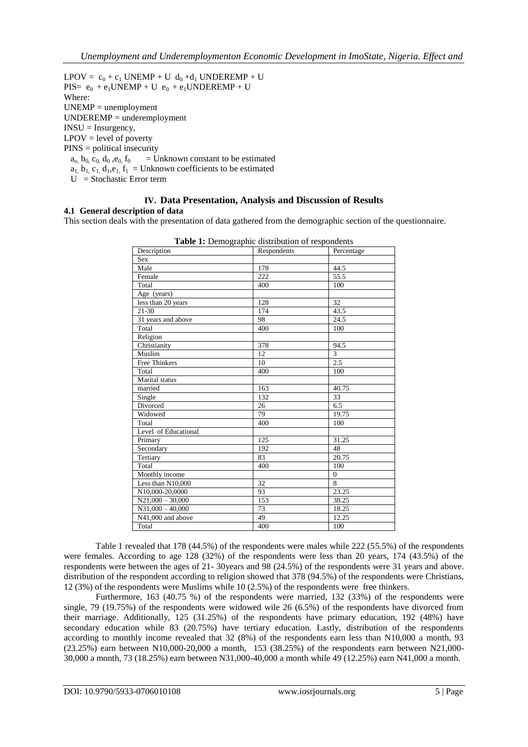$LPOV = c_0 + c_1 UNEMP + U d_0 + d_1 UNDEREMP + U$  $PIS = e_0 + e_1 UNEMP + U e_0 + e_1 UNDEREMP + U$ Where: UNEMP = unemployment UNDEREMP = underemployment INSU = Insurgency, LPOV = level of poverty PINS = political insecurity  $a_0$ ,  $b_0$ ,  $c_0$ ,  $d_0$ ,  $e_0$ ,  $f_0$  = Unknown constant to be estimated  $a_1$ ,  $b_1$ ,  $c_1$ ,  $d_1$ ,  $e_1$ ,  $f_1$  = Unknown coefficients to be estimated

U = Stochastic Error term

# **IV. Data Presentation, Analysis and Discussion of Results**

#### **4.1 General description of data**

This section deals with the presentation of data gathered from the demographic section of the questionnaire.

| Description          | Respondents     | Percentage        |  |
|----------------------|-----------------|-------------------|--|
| Sex                  |                 |                   |  |
| Male                 | 178             | 44.5              |  |
| Female               | 222             | $\overline{55.5}$ |  |
| Total                | 400             | 100               |  |
| Age (years)          |                 |                   |  |
| less than 20 years   | 128             | 32                |  |
| $21 - 30$            | 174             | 43.5              |  |
| 31 years and above   | 98              | 24.5              |  |
| Total                | 400             | 100               |  |
| Religion             |                 |                   |  |
| Christianity         | 378             | 94.5              |  |
| Muslim               | 12              | $\overline{3}$    |  |
| <b>Free Thinkers</b> | 10              | 2.5               |  |
| Total                | 400             | 100               |  |
| Marital status       |                 |                   |  |
| married              | 163             | 40.75             |  |
| Single               | 132             | 33                |  |
| Divorced             | 26              | 6.5               |  |
| Widowed              | 79              | 19.75             |  |
| Total                | 400             | 100               |  |
| Level of Educational |                 |                   |  |
| Primary              | 125             | 31.25             |  |
| Secondary            | 192             | 48                |  |
| Tertiary             | 83              | 20.75             |  |
| Total                | 400             | 100               |  |
| Monthly income       |                 | $\Omega$          |  |
| Less than $N10,000$  | 32              | 8                 |  |
| N10,000-20,0000      | 93              | 23.25             |  |
| $N21,000 - 30,000$   | 153             | 38.25             |  |
| $N31,000 - 40,000$   | 73              | 18.25             |  |
| N41,000 and above    | $\overline{49}$ | 12.25             |  |
| Total                | 400             | 100               |  |

| <b>Table 1:</b> Demographic distribution of respondents |  |
|---------------------------------------------------------|--|
|---------------------------------------------------------|--|

Table 1 revealed that 178 (44.5%) of the respondents were males while 222 (55.5%) of the respondents were females. According to age 128 (32%) of the respondents were less than 20 years, 174 (43.5%) of the respondents were between the ages of 21- 30years and 98 (24.5%) of the respondents were 31 years and above. distribution of the respondent according to religion showed that 378 (94.5%) of the respondents were Christians, 12 (3%) of the respondents were Muslims while 10 (2.5%) of the respondents were free thinkers.

Furthermore, 163 (40.75 %) of the respondents were married, 132 (33%) of the respondents were single, 79 (19.75%) of the respondents were widowed wile 26 (6.5%) of the respondents have divorced from their marriage. Additionally, 125 (31.25%) of the respondents have primary education, 192 (48%) have secondary education while 83 (20.75%) have tertiary education. Lastly, distribution of the respondents according to monthly income revealed that 32 (8%) of the respondents earn less than N10,000 a month, 93 (23.25%) earn between N10,000-20,000 a month, 153 (38.25%) of the respondents earn between N21,000- 30,000 a month, 73 (18.25%) earn between N31,000-40,000 a month while 49 (12.25%) earn N41,000 a month.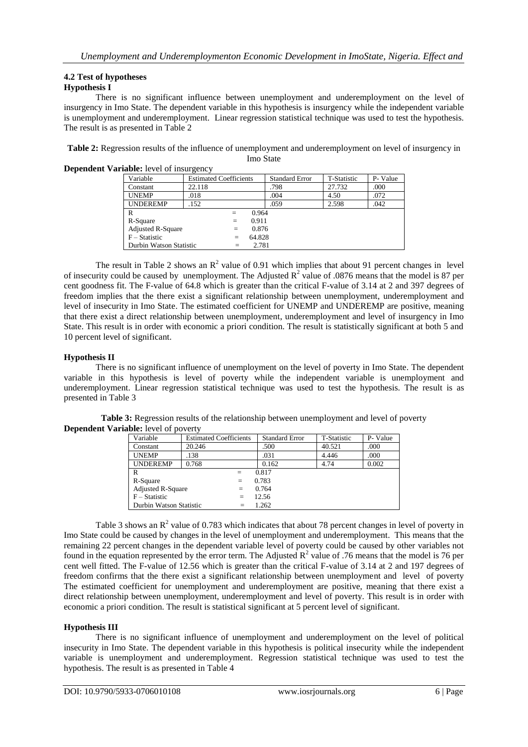# **4.2 Test of hypotheses**

# **Hypothesis I**

There is no significant influence between unemployment and underemployment on the level of insurgency in Imo State. The dependent variable in this hypothesis is insurgency while the independent variable is unemployment and underemployment. Linear regression statistical technique was used to test the hypothesis. The result is as presented in Table 2

**Table 2:** Regression results of the influence of unemployment and underemployment on level of insurgency in Imo State

| <b>Dependent Variable:</b> level of insurgency |                          |                               |     |        |                       |             |          |
|------------------------------------------------|--------------------------|-------------------------------|-----|--------|-----------------------|-------------|----------|
|                                                | Variable                 | <b>Estimated Coefficients</b> |     |        | <b>Standard Error</b> | T-Statistic | P- Value |
|                                                | Constant                 | 22.118                        |     |        | .798                  | 27.732      | .000     |
|                                                | <b>UNEMP</b>             | .018                          |     |        | .004                  | 4.50        | .072     |
|                                                | <b>UNDEREMP</b>          | .152                          |     |        | .059                  | 2.598       | .042     |
|                                                | R                        |                               | $=$ | 0.964  |                       |             |          |
|                                                | R-Square                 |                               | $=$ | 0.911  |                       |             |          |
|                                                | <b>Adjusted R-Square</b> |                               | $=$ | 0.876  |                       |             |          |
|                                                | $F - Statistic$          |                               | $=$ | 64.828 |                       |             |          |
|                                                | Durbin Watson Statistic  |                               | $=$ | 2.781  |                       |             |          |

The result in Table 2 shows an  $\mathbb{R}^2$  value of 0.91 which implies that about 91 percent changes in level of insecurity could be caused by unemployment. The Adjusted  $\mathbb{R}^2$  value of .0876 means that the model is 87 per cent goodness fit. The F-value of 64.8 which is greater than the critical F-value of 3.14 at 2 and 397 degrees of freedom implies that the there exist a significant relationship between unemployment, underemployment and level of insecurity in Imo State. The estimated coefficient for UNEMP and UNDEREMP are positive, meaning that there exist a direct relationship between unemployment, underemployment and level of insurgency in Imo State. This result is in order with economic a priori condition. The result is statistically significant at both 5 and 10 percent level of significant.

## **Hypothesis II**

There is no significant influence of unemployment on the level of poverty in Imo State. The dependent variable in this hypothesis is level of poverty while the independent variable is unemployment and underemployment. Linear regression statistical technique was used to test the hypothesis. The result is as presented in Table 3

| Variable                 | <b>Estimated Coefficients</b> | <b>Standard Error</b> | T-Statistic | P-Value |  |  |
|--------------------------|-------------------------------|-----------------------|-------------|---------|--|--|
| Constant                 | 20.246                        | .500                  | 40.521      | .000    |  |  |
| <b>UNEMP</b>             | .138                          | .031                  | 4.446       | .000    |  |  |
| <b>UNDEREMP</b>          | 0.768                         | 0.162                 | 4.74        | 0.002   |  |  |
| R                        | 0.817                         |                       |             |         |  |  |
| R-Square                 | $=$                           | 0.783                 |             |         |  |  |
| <b>Adjusted R-Square</b> |                               | 0.764                 |             |         |  |  |
| $F - Statistic$          | $=$                           | 12.56                 |             |         |  |  |
| Durbin Watson Statistic  | $=$                           | 1.262                 |             |         |  |  |

**Table 3:** Regression results of the relationship between unemployment and level of poverty **Dependent Variable:** level of poverty

Table 3 shows an  $R^2$  value of 0.783 which indicates that about 78 percent changes in level of poverty in Imo State could be caused by changes in the level of unemployment and underemployment. This means that the remaining 22 percent changes in the dependent variable level of poverty could be caused by other variables not found in the equation represented by the error term. The Adjusted  $\mathbb{R}^2$  value of .76 means that the model is 76 per cent well fitted. The F-value of 12.56 which is greater than the critical F-value of 3.14 at 2 and 197 degrees of freedom confirms that the there exist a significant relationship between unemployment and level of poverty The estimated coefficient for unemployment and underemployment are positive, meaning that there exist a direct relationship between unemployment, underemployment and level of poverty. This result is in order with economic a priori condition. The result is statistical significant at 5 percent level of significant.

#### **Hypothesis III**

There is no significant influence of unemployment and underemployment on the level of political insecurity in Imo State. The dependent variable in this hypothesis is political insecurity while the independent variable is unemployment and underemployment. Regression statistical technique was used to test the hypothesis. The result is as presented in Table 4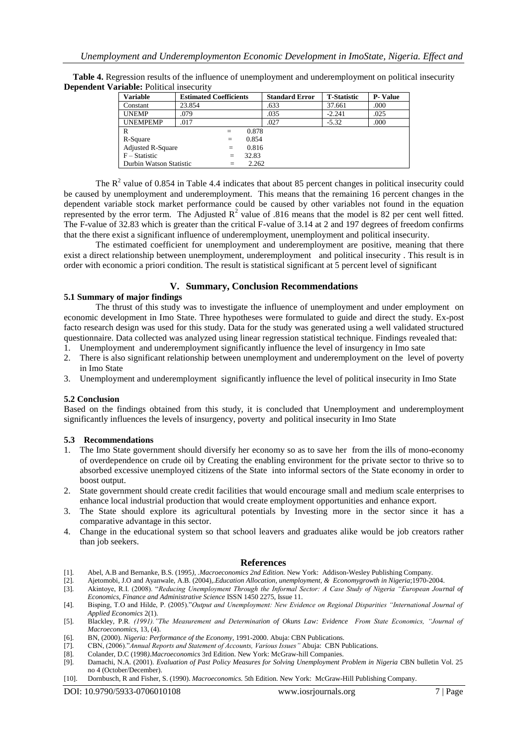| <b>Variable</b>          | <b>Estimated Coefficients</b> |       | <b>Standard Error</b> | <b>T-Statistic</b> | <b>P-Value</b> |
|--------------------------|-------------------------------|-------|-----------------------|--------------------|----------------|
| Constant                 | 23.854                        |       | .633                  | 37.661             | .000           |
| <b>UNEMP</b>             | .079                          |       | .035                  | $-2.241$           | .025           |
| <b>UNEMPEMP</b>          | .017                          |       | .027                  | $-5.32$            | .000           |
| R                        | $=$                           | 0.878 |                       |                    |                |
| R-Square                 | $=$                           | 0.854 |                       |                    |                |
| <b>Adjusted R-Square</b> | $=$                           | 0.816 |                       |                    |                |
| $F - Statistic$          | $=$                           | 32.83 |                       |                    |                |
| Durbin Watson Statistic  | $=$                           | 2.262 |                       |                    |                |

**Table 4.** Regression results of the influence of unemployment and underemployment on political insecurity **Dependent Variable:** Political insecurity

The  $\mathbb{R}^2$  value of 0.854 in Table 4.4 indicates that about 85 percent changes in political insecurity could be caused by unemployment and underemployment. This means that the remaining 16 percent changes in the dependent variable stock market performance could be caused by other variables not found in the equation represented by the error term. The Adjusted  $R^2$  value of .816 means that the model is 82 per cent well fitted. The F-value of 32.83 which is greater than the critical F-value of 3.14 at 2 and 197 degrees of freedom confirms that the there exist a significant influence of underemployment, unemployment and political insecurity.

The estimated coefficient for unemployment and underemployment are positive, meaning that there exist a direct relationship between unemployment, underemployment and political insecurity . This result is in order with economic a priori condition. The result is statistical significant at 5 percent level of significant

## **V. Summary, Conclusion Recommendations**

#### **5.1 Summary of major findings**

The thrust of this study was to investigate the influence of unemployment and under employment on economic development in Imo State. Three hypotheses were formulated to guide and direct the study. Ex-post facto research design was used for this study. Data for the study was generated using a well validated structured questionnaire. Data collected was analyzed using linear regression statistical technique. Findings revealed that:

- 1. Unemployment and underemployment significantly influence the level of insurgency in Imo sate
- 2. There is also significant relationship between unemployment and underemployment on the level of poverty in Imo State
- 3. Unemployment and underemployment significantly influence the level of political insecurity in Imo State

#### **5.2 Conclusion**

Based on the findings obtained from this study, it is concluded that Unemployment and underemployment significantly influences the levels of insurgency, poverty and political insecurity in Imo State

#### **5.3 Recommendations**

- 1. The Imo State government should diversify her economy so as to save her from the ills of mono-economy of overdependence on crude oil by Creating the enabling environment for the private sector to thrive so to absorbed excessive unemployed citizens of the State into informal sectors of the State economy in order to boost output.
- 2. State government should create credit facilities that would encourage small and medium scale enterprises to enhance local industrial production that would create employment opportunities and enhance export.
- 3. The State should explore its agricultural potentials by Investing more in the sector since it has a comparative advantage in this sector.
- 4. Change in the educational system so that school leavers and graduates alike would be job creators rather than job seekers.

#### **References**

- [1]. Abel, A.B and Bernanke, B.S. (1995*), .Macroeconomics 2nd Edition.* New York: Addison-Wesley Publishing Company.
- [2]. Ajetomobi, J.O and Ayanwale, A.B. (2004),.*Education Allocation, unemployment, & Economygrowth in Nigeria*;1970-2004.
- [3]. Akintoye, R.I. (2008). "*Reducing Unemployment Through the Informal Sector: A Case Study of Nigeria "European Journal of Economics, Finance and Administrative Science* ISSN 1450 2275, Issue 11.
- [4]. Bisping, T.O and Hilde, P. (2005)."*Output and Unemployment: New Evidence on Regional Disparities "International Journal of Applied Economics* 2(1).
- [5]. Blackley, P.R*. (1991)."The Measurement and Determination of Okuns Law: Evidence From State Economics, "Journal of Macroeconomics,* 13, (4).
- [6]. BN, (2000). *Nigeria: Performance of the Economy*, 1991-2000. Abuja: CBN Publications.
- [7]. CBN, (2006)."*Annual Reports and Statement of Accounts, Various Issues"* Abuja: CBN Publications.
- [8]. Colander, D.C (1998*).Macroeconomics* 3rd Edition. New York: McGraw-hill Companies.
- [9]. Damachi, N.A. (2001). *Evaluation of Past Policy Measures for Solving Unemployment Problem in Nigeria* CBN bulletin Vol. 25 no 4 (October/December).
- [10]. Dornbusch, R and Fisher, S. (1990). *Macroeconomics.* 5th Edition. New York: McGraw-Hill Publishing Company.